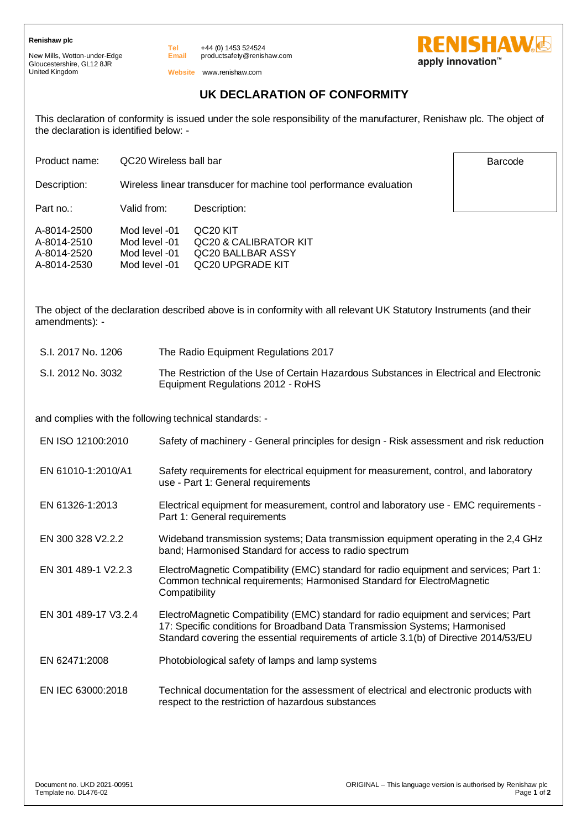## **Renishaw plc**

New Mills, Wotton-under-Edge Gloucestershire, GL12 8JR United Kingdom

+44 (0) 1453 524524 productsafety@renishaw.com

**Website** www.renishaw.com

## **UK DECLARATION OF CONFORMITY**

This declaration of conformity is issued under the sole responsibility of the manufacturer, Renishaw plc. The object of the declaration is identified below: -

Product name: QC20 Wireless ball bar

Description: Wireless linear transducer for machine tool performance evaluation

Description:

Part no.: Valid from:

| A-8014-2500 | Mod level -01 | QC <sub>20</sub> KIT  |
|-------------|---------------|-----------------------|
| A-8014-2510 | Mod level -01 | QC20 & CALIBRATOR KIT |

**Tel Email**

A-8014-2520 A-8014-2530 Mod level -01 Mod level -01 QC20 BALLBAR ASSY QC20 UPGRADE KIT

The object of the declaration described above is in conformity with all relevant UK Statutory Instruments (and their amendments): -

| S.I. 2017 No. 1206 | The Radio Equipment Regulations 2017                                                                                         |
|--------------------|------------------------------------------------------------------------------------------------------------------------------|
| S.I. 2012 No. 3032 | The Restriction of the Use of Certain Hazardous Substances in Electrical and Electronic<br>Equipment Regulations 2012 - RoHS |

and complies with the following technical standards: -

| EN ISO 12100:2010    | Safety of machinery - General principles for design - Risk assessment and risk reduction                                                                                                                                                                     |
|----------------------|--------------------------------------------------------------------------------------------------------------------------------------------------------------------------------------------------------------------------------------------------------------|
| EN 61010-1:2010/A1   | Safety requirements for electrical equipment for measurement, control, and laboratory<br>use - Part 1: General requirements                                                                                                                                  |
| EN 61326-1:2013      | Electrical equipment for measurement, control and laboratory use - EMC requirements -<br>Part 1: General requirements                                                                                                                                        |
| EN 300 328 V2.2.2    | Wideband transmission systems; Data transmission equipment operating in the 2,4 GHz<br>band; Harmonised Standard for access to radio spectrum                                                                                                                |
| EN 301 489-1 V2.2.3  | ElectroMagnetic Compatibility (EMC) standard for radio equipment and services; Part 1:<br>Common technical requirements; Harmonised Standard for ElectroMagnetic<br>Compatibility                                                                            |
| EN 301 489-17 V3.2.4 | ElectroMagnetic Compatibility (EMC) standard for radio equipment and services; Part<br>17: Specific conditions for Broadband Data Transmission Systems; Harmonised<br>Standard covering the essential requirements of article 3.1(b) of Directive 2014/53/EU |
| EN 62471:2008        | Photobiological safety of lamps and lamp systems                                                                                                                                                                                                             |
| EN IEC 63000:2018    | Technical documentation for the assessment of electrical and electronic products with<br>respect to the restriction of hazardous substances                                                                                                                  |

Barcode

**RENISHAW.** 

apply innovation<sup>™</sup>